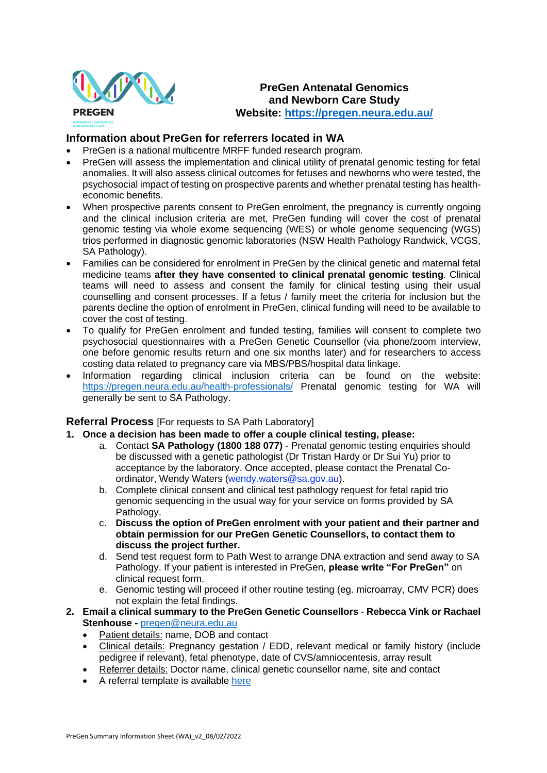

## **PreGen Antenatal Genomics and Newborn Care Study Website:<https://pregen.neura.edu.au/>**

## **Information about PreGen for referrers located in WA**

- PreGen is a national multicentre MRFF funded research program.
- PreGen will assess the implementation and clinical utility of prenatal genomic testing for fetal anomalies. It will also assess clinical outcomes for fetuses and newborns who were tested, the psychosocial impact of testing on prospective parents and whether prenatal testing has healtheconomic benefits.
- When prospective parents consent to PreGen enrolment, the pregnancy is currently ongoing and the clinical inclusion criteria are met, PreGen funding will cover the cost of prenatal genomic testing via whole exome sequencing (WES) or whole genome sequencing (WGS) trios performed in diagnostic genomic laboratories (NSW Health Pathology Randwick, VCGS, SA Pathology).
- Families can be considered for enrolment in PreGen by the clinical genetic and maternal fetal medicine teams **after they have consented to clinical prenatal genomic testing**. Clinical teams will need to assess and consent the family for clinical testing using their usual counselling and consent processes. If a fetus / family meet the criteria for inclusion but the parents decline the option of enrolment in PreGen, clinical funding will need to be available to cover the cost of testing.
- To qualify for PreGen enrolment and funded testing, families will consent to complete two psychosocial questionnaires with a PreGen Genetic Counsellor (via phone/zoom interview, one before genomic results return and one six months later) and for researchers to access costing data related to pregnancy care via MBS/PBS/hospital data linkage.
- Information regarding clinical inclusion criteria can be found on the website: <https://pregen.neura.edu.au/health-professionals/> Prenatal genomic testing for WA will generally be sent to SA Pathology.

## **Referral Process** [For requests to SA Path Laboratory]

- **1. Once a decision has been made to offer a couple clinical testing, please:**
	- a. Contact **SA Pathology (1800 188 077)** Prenatal genomic testing enquiries should be discussed with a genetic pathologist (Dr Tristan Hardy or Dr Sui Yu) prior to acceptance by the laboratory. Once accepted, please contact the Prenatal Coordinator, Wendy Waters (wendy.waters@sa.gov.au).
	- b. Complete clinical consent and clinical test pathology request for fetal rapid trio genomic sequencing in the usual way for your service on forms provided by SA Pathology.
	- c. **Discuss the option of PreGen enrolment with your patient and their partner and obtain permission for our PreGen Genetic Counsellors, to contact them to discuss the project further.**
	- d. Send test request form to Path West to arrange DNA extraction and send away to SA Pathology. If your patient is interested in PreGen, **please write "For PreGen"** on clinical request form.
	- e. Genomic testing will proceed if other routine testing (eg. microarray, CMV PCR) does not explain the fetal findings.
- **2. Email a clinical summary to the PreGen Genetic Counsellors Rebecca Vink or Rachael Stenhouse -** [pregen@neura.edu.au](mailto:pregen@neura.edu.au)
	- Patient details: name, DOB and contact
	- Clinical details: Pregnancy gestation / EDD, relevant medical or family history (include pedigree if relevant), fetal phenotype, date of CVS/amniocentesis, array result
	- Referrer details: Doctor name, clinical genetic counsellor name, site and contact
	- A referral template is available [here](https://pregen.neura.edu.au/wp-content/uploads/2021/10/PreGen-Genetic-Counsellor-Referral_v1.pdf)